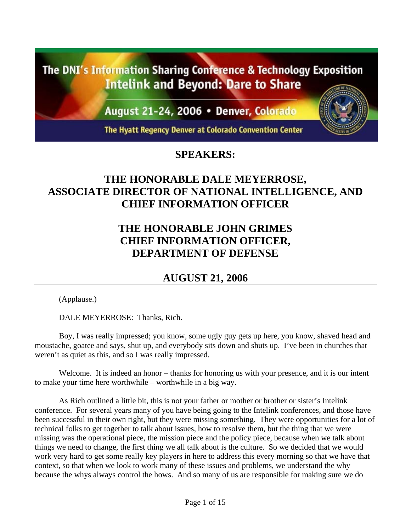The DNI's Information Sharing Conference & Technology Exposition **Intelink and Beyond: Dare to Share** 

August 21-24, 2006 • Denver, Colorado

The Hyatt Regency Denver at Colorado Convention Center

## **SPEAKERS:**

## **THE HONORABLE DALE MEYERROSE, ASSOCIATE DIRECTOR OF NATIONAL INTELLIGENCE, AND CHIEF INFORMATION OFFICER**

## **THE HONORABLE JOHN GRIMES CHIEF INFORMATION OFFICER, DEPARTMENT OF DEFENSE**

## **AUGUST 21, 2006**

(Applause.)

DALE MEYERROSE: Thanks, Rich.

Boy, I was really impressed; you know, some ugly guy gets up here, you know, shaved head and moustache, goatee and says, shut up, and everybody sits down and shuts up. I've been in churches that weren't as quiet as this, and so I was really impressed.

Welcome. It is indeed an honor – thanks for honoring us with your presence, and it is our intent to make your time here worthwhile – worthwhile in a big way.

As Rich outlined a little bit, this is not your father or mother or brother or sister's Intelink conference. For several years many of you have being going to the Intelink conferences, and those have been successful in their own right, but they were missing something. They were opportunities for a lot of technical folks to get together to talk about issues, how to resolve them, but the thing that we were missing was the operational piece, the mission piece and the policy piece, because when we talk about things we need to change, the first thing we all talk about is the culture. So we decided that we would work very hard to get some really key players in here to address this every morning so that we have that context, so that when we look to work many of these issues and problems, we understand the why because the whys always control the hows. And so many of us are responsible for making sure we do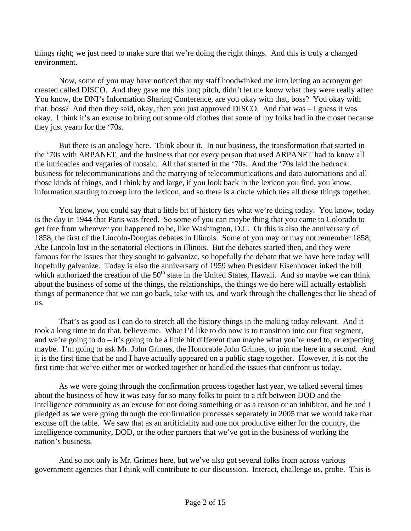things right; we just need to make sure that we're doing the right things. And this is truly a changed environment.

Now, some of you may have noticed that my staff hoodwinked me into letting an acronym get created called DISCO. And they gave me this long pitch, didn't let me know what they were really after: You know, the DNI's Information Sharing Conference, are you okay with that, boss? You okay with that, boss? And then they said, okay, then you just approved DISCO. And that was – I guess it was okay. I think it's an excuse to bring out some old clothes that some of my folks had in the closet because they just yearn for the '70s.

But there is an analogy here. Think about it. In our business, the transformation that started in the '70s with ARPANET, and the business that not every person that used ARPANET had to know all the intricacies and vagaries of mosaic. All that started in the '70s. And the '70s laid the bedrock business for telecommunications and the marrying of telecommunications and data automations and all those kinds of things, and I think by and large, if you look back in the lexicon you find, you know, information starting to creep into the lexicon, and so there is a circle which ties all those things together.

You know, you could say that a little bit of history ties what we're doing today. You know, today is the day in 1944 that Paris was freed. So some of you can maybe thing that you came to Colorado to get free from wherever you happened to be, like Washington, D.C. Or this is also the anniversary of 1858, the first of the Lincoln-Douglas debates in Illinois. Some of you may or may not remember 1858; Abe Lincoln lost in the senatorial elections in Illinois. But the debates started then, and they were famous for the issues that they sought to galvanize, so hopefully the debate that we have here today will hopefully galvanize. Today is also the anniversary of 1959 when President Eisenhower inked the bill which authorized the creation of the  $50<sup>th</sup>$  state in the United States, Hawaii. And so maybe we can think about the business of some of the things, the relationships, the things we do here will actually establish things of permanence that we can go back, take with us, and work through the challenges that lie ahead of us.

That's as good as I can do to stretch all the history things in the making today relevant. And it took a long time to do that, believe me. What I'd like to do now is to transition into our first segment, and we're going to do – it's going to be a little bit different than maybe what you're used to, or expecting maybe. I'm going to ask Mr. John Grimes, the Honorable John Grimes, to join me here in a second. And it is the first time that he and I have actually appeared on a public stage together. However, it is not the first time that we've either met or worked together or handled the issues that confront us today.

As we were going through the confirmation process together last year, we talked several times about the business of how it was easy for so many folks to point to a rift between DOD and the intelligence community as an excuse for not doing something or as a reason or an inhibitor, and he and I pledged as we were going through the confirmation processes separately in 2005 that we would take that excuse off the table. We saw that as an artificiality and one not productive either for the country, the intelligence community, DOD, or the other partners that we've got in the business of working the nation's business.

And so not only is Mr. Grimes here, but we've also got several folks from across various government agencies that I think will contribute to our discussion. Interact, challenge us, probe. This is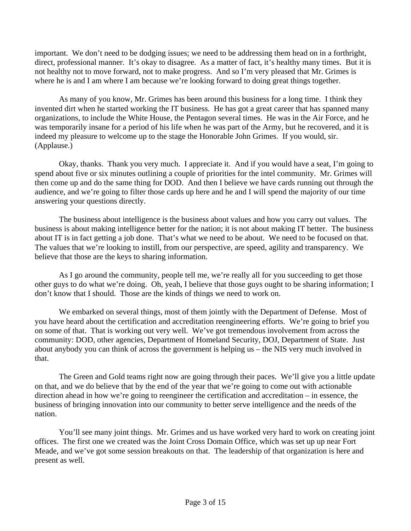important. We don't need to be dodging issues; we need to be addressing them head on in a forthright, direct, professional manner. It's okay to disagree. As a matter of fact, it's healthy many times. But it is not healthy not to move forward, not to make progress. And so I'm very pleased that Mr. Grimes is where he is and I am where I am because we're looking forward to doing great things together.

As many of you know, Mr. Grimes has been around this business for a long time. I think they invented dirt when he started working the IT business. He has got a great career that has spanned many organizations, to include the White House, the Pentagon several times. He was in the Air Force, and he was temporarily insane for a period of his life when he was part of the Army, but he recovered, and it is indeed my pleasure to welcome up to the stage the Honorable John Grimes. If you would, sir. (Applause.)

Okay, thanks. Thank you very much. I appreciate it. And if you would have a seat, I'm going to spend about five or six minutes outlining a couple of priorities for the intel community. Mr. Grimes will then come up and do the same thing for DOD. And then I believe we have cards running out through the audience, and we're going to filter those cards up here and he and I will spend the majority of our time answering your questions directly.

The business about intelligence is the business about values and how you carry out values. The business is about making intelligence better for the nation; it is not about making IT better. The business about IT is in fact getting a job done. That's what we need to be about. We need to be focused on that. The values that we're looking to instill, from our perspective, are speed, agility and transparency. We believe that those are the keys to sharing information.

As I go around the community, people tell me, we're really all for you succeeding to get those other guys to do what we're doing. Oh, yeah, I believe that those guys ought to be sharing information; I don't know that I should. Those are the kinds of things we need to work on.

We embarked on several things, most of them jointly with the Department of Defense. Most of you have heard about the certification and accreditation reengineering efforts. We're going to brief you on some of that. That is working out very well. We've got tremendous involvement from across the community: DOD, other agencies, Department of Homeland Security, DOJ, Department of State. Just about anybody you can think of across the government is helping us – the NIS very much involved in that.

The Green and Gold teams right now are going through their paces. We'll give you a little update on that, and we do believe that by the end of the year that we're going to come out with actionable direction ahead in how we're going to reengineer the certification and accreditation – in essence, the business of bringing innovation into our community to better serve intelligence and the needs of the nation.

You'll see many joint things. Mr. Grimes and us have worked very hard to work on creating joint offices. The first one we created was the Joint Cross Domain Office, which was set up up near Fort Meade, and we've got some session breakouts on that. The leadership of that organization is here and present as well.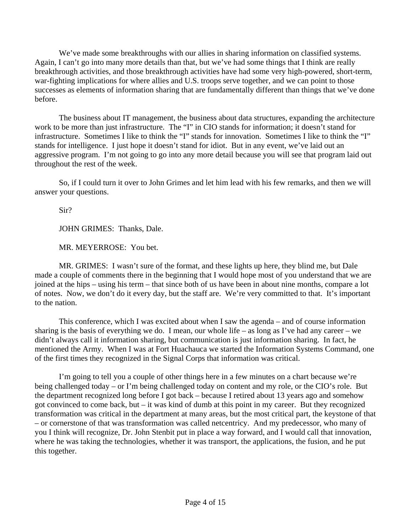We've made some breakthroughs with our allies in sharing information on classified systems. Again, I can't go into many more details than that, but we've had some things that I think are really breakthrough activities, and those breakthrough activities have had some very high-powered, short-term, war-fighting implications for where allies and U.S. troops serve together, and we can point to those successes as elements of information sharing that are fundamentally different than things that we've done before.

The business about IT management, the business about data structures, expanding the architecture work to be more than just infrastructure. The "I" in CIO stands for information; it doesn't stand for infrastructure. Sometimes I like to think the "I" stands for innovation. Sometimes I like to think the "I" stands for intelligence. I just hope it doesn't stand for idiot. But in any event, we've laid out an aggressive program. I'm not going to go into any more detail because you will see that program laid out throughout the rest of the week.

So, if I could turn it over to John Grimes and let him lead with his few remarks, and then we will answer your questions.

Sir?

JOHN GRIMES: Thanks, Dale.

MR. MEYERROSE: You bet.

MR. GRIMES: I wasn't sure of the format, and these lights up here, they blind me, but Dale made a couple of comments there in the beginning that I would hope most of you understand that we are joined at the hips – using his term – that since both of us have been in about nine months, compare a lot of notes. Now, we don't do it every day, but the staff are. We're very committed to that. It's important to the nation.

This conference, which I was excited about when I saw the agenda – and of course information sharing is the basis of everything we do. I mean, our whole life – as long as I've had any career – we didn't always call it information sharing, but communication is just information sharing. In fact, he mentioned the Army. When I was at Fort Huachauca we started the Information Systems Command, one of the first times they recognized in the Signal Corps that information was critical.

I'm going to tell you a couple of other things here in a few minutes on a chart because we're being challenged today – or I'm being challenged today on content and my role, or the CIO's role. But the department recognized long before I got back – because I retired about 13 years ago and somehow got convinced to come back, but – it was kind of dumb at this point in my career. But they recognized transformation was critical in the department at many areas, but the most critical part, the keystone of that – or cornerstone of that was transformation was called netcentricy. And my predecessor, who many of you I think will recognize, Dr. John Stenbit put in place a way forward, and I would call that innovation, where he was taking the technologies, whether it was transport, the applications, the fusion, and he put this together.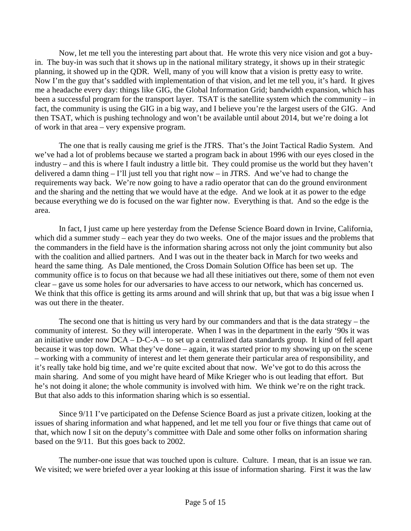Now, let me tell you the interesting part about that. He wrote this very nice vision and got a buyin. The buy-in was such that it shows up in the national military strategy, it shows up in their strategic planning, it showed up in the QDR. Well, many of you will know that a vision is pretty easy to write. Now I'm the guy that's saddled with implementation of that vision, and let me tell you, it's hard. It gives me a headache every day: things like GIG, the Global Information Grid; bandwidth expansion, which has been a successful program for the transport layer. TSAT is the satellite system which the community – in fact, the community is using the GIG in a big way, and I believe you're the largest users of the GIG. And then TSAT, which is pushing technology and won't be available until about 2014, but we're doing a lot of work in that area – very expensive program.

The one that is really causing me grief is the JTRS. That's the Joint Tactical Radio System. And we've had a lot of problems because we started a program back in about 1996 with our eyes closed in the industry – and this is where I fault industry a little bit. They could promise us the world but they haven't delivered a damn thing – I'll just tell you that right now – in JTRS. And we've had to change the requirements way back. We're now going to have a radio operator that can do the ground environment and the sharing and the netting that we would have at the edge. And we look at it as power to the edge because everything we do is focused on the war fighter now. Everything is that. And so the edge is the area.

In fact, I just came up here yesterday from the Defense Science Board down in Irvine, California, which did a summer study – each year they do two weeks. One of the major issues and the problems that the commanders in the field have is the information sharing across not only the joint community but also with the coalition and allied partners. And I was out in the theater back in March for two weeks and heard the same thing. As Dale mentioned, the Cross Domain Solution Office has been set up. The community office is to focus on that because we had all these initiatives out there, some of them not even clear – gave us some holes for our adversaries to have access to our network, which has concerned us. We think that this office is getting its arms around and will shrink that up, but that was a big issue when I was out there in the theater.

The second one that is hitting us very hard by our commanders and that is the data strategy – the community of interest. So they will interoperate. When I was in the department in the early '90s it was an initiative under now DCA – D-C-A – to set up a centralized data standards group. It kind of fell apart because it was top down. What they've done – again, it was started prior to my showing up on the scene – working with a community of interest and let them generate their particular area of responsibility, and it's really take hold big time, and we're quite excited about that now. We've got to do this across the main sharing. And some of you might have heard of Mike Krieger who is out leading that effort. But he's not doing it alone; the whole community is involved with him. We think we're on the right track. But that also adds to this information sharing which is so essential.

Since 9/11 I've participated on the Defense Science Board as just a private citizen, looking at the issues of sharing information and what happened, and let me tell you four or five things that came out of that, which now I sit on the deputy's committee with Dale and some other folks on information sharing based on the 9/11. But this goes back to 2002.

The number-one issue that was touched upon is culture. Culture. I mean, that is an issue we ran. We visited; we were briefed over a year looking at this issue of information sharing. First it was the law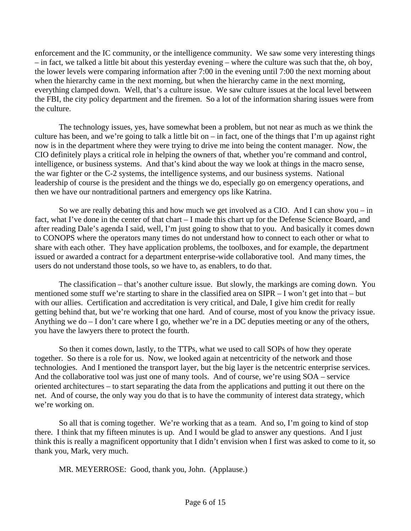enforcement and the IC community, or the intelligence community. We saw some very interesting things – in fact, we talked a little bit about this yesterday evening – where the culture was such that the, oh boy, the lower levels were comparing information after 7:00 in the evening until 7:00 the next morning about when the hierarchy came in the next morning, but when the hierarchy came in the next morning, everything clamped down. Well, that's a culture issue. We saw culture issues at the local level between the FBI, the city policy department and the firemen. So a lot of the information sharing issues were from the culture.

The technology issues, yes, have somewhat been a problem, but not near as much as we think the culture has been, and we're going to talk a little bit on  $-$  in fact, one of the things that I'm up against right now is in the department where they were trying to drive me into being the content manager. Now, the CIO definitely plays a critical role in helping the owners of that, whether you're command and control, intelligence, or business systems. And that's kind about the way we look at things in the macro sense, the war fighter or the C-2 systems, the intelligence systems, and our business systems. National leadership of course is the president and the things we do, especially go on emergency operations, and then we have our nontraditional partners and emergency ops like Katrina.

So we are really debating this and how much we get involved as a CIO. And I can show you – in fact, what I've done in the center of that chart – I made this chart up for the Defense Science Board, and after reading Dale's agenda I said, well, I'm just going to show that to you. And basically it comes down to CONOPS where the operators many times do not understand how to connect to each other or what to share with each other. They have application problems, the toolboxes, and for example, the department issued or awarded a contract for a department enterprise-wide collaborative tool. And many times, the users do not understand those tools, so we have to, as enablers, to do that.

The classification – that's another culture issue. But slowly, the markings are coming down. You mentioned some stuff we're starting to share in the classified area on SIPR – I won't get into that – but with our allies. Certification and accreditation is very critical, and Dale, I give him credit for really getting behind that, but we're working that one hard. And of course, most of you know the privacy issue. Anything we do – I don't care where I go, whether we're in a DC deputies meeting or any of the others, you have the lawyers there to protect the fourth.

So then it comes down, lastly, to the TTPs, what we used to call SOPs of how they operate together. So there is a role for us. Now, we looked again at netcentricity of the network and those technologies. And I mentioned the transport layer, but the big layer is the netcentric enterprise services. And the collaborative tool was just one of many tools. And of course, we're using SOA – service oriented architectures – to start separating the data from the applications and putting it out there on the net. And of course, the only way you do that is to have the community of interest data strategy, which we're working on.

So all that is coming together. We're working that as a team. And so, I'm going to kind of stop there. I think that my fifteen minutes is up. And I would be glad to answer any questions. And I just think this is really a magnificent opportunity that I didn't envision when I first was asked to come to it, so thank you, Mark, very much.

MR. MEYERROSE: Good, thank you, John. (Applause.)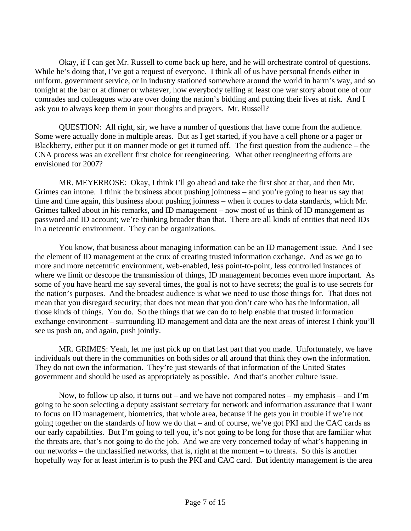Okay, if I can get Mr. Russell to come back up here, and he will orchestrate control of questions. While he's doing that, I've got a request of everyone. I think all of us have personal friends either in uniform, government service, or in industry stationed somewhere around the world in harm's way, and so tonight at the bar or at dinner or whatever, how everybody telling at least one war story about one of our comrades and colleagues who are over doing the nation's bidding and putting their lives at risk. And I ask you to always keep them in your thoughts and prayers. Mr. Russell?

QUESTION: All right, sir, we have a number of questions that have come from the audience. Some were actually done in multiple areas. But as I get started, if you have a cell phone or a pager or Blackberry, either put it on manner mode or get it turned off. The first question from the audience – the CNA process was an excellent first choice for reengineering. What other reengineering efforts are envisioned for 2007?

MR. MEYERROSE: Okay, I think I'll go ahead and take the first shot at that, and then Mr. Grimes can intone. I think the business about pushing jointness – and you're going to hear us say that time and time again, this business about pushing joinness – when it comes to data standards, which Mr. Grimes talked about in his remarks, and ID management – now most of us think of ID management as password and ID account; we're thinking broader than that. There are all kinds of entities that need IDs in a netcentric environment. They can be organizations.

You know, that business about managing information can be an ID management issue. And I see the element of ID management at the crux of creating trusted information exchange. And as we go to more and more netcetntric environment, web-enabled, less point-to-point, less controlled instances of where we limit or descope the transmission of things, ID management becomes even more important. As some of you have heard me say several times, the goal is not to have secrets; the goal is to use secrets for the nation's purposes. And the broadest audience is what we need to use those things for. That does not mean that you disregard security; that does not mean that you don't care who has the information, all those kinds of things. You do. So the things that we can do to help enable that trusted information exchange environment – surrounding ID management and data are the next areas of interest I think you'll see us push on, and again, push jointly.

MR. GRIMES: Yeah, let me just pick up on that last part that you made. Unfortunately, we have individuals out there in the communities on both sides or all around that think they own the information. They do not own the information. They're just stewards of that information of the United States government and should be used as appropriately as possible. And that's another culture issue.

Now, to follow up also, it turns out – and we have not compared notes – my emphasis – and I'm going to be soon selecting a deputy assistant secretary for network and information assurance that I want to focus on ID management, biometrics, that whole area, because if he gets you in trouble if we're not going together on the standards of how we do that – and of course, we've got PKI and the CAC cards as our early capabilities. But I'm going to tell you, it's not going to be long for those that are familiar what the threats are, that's not going to do the job. And we are very concerned today of what's happening in our networks – the unclassified networks, that is, right at the moment – to threats. So this is another hopefully way for at least interim is to push the PKI and CAC card. But identity management is the area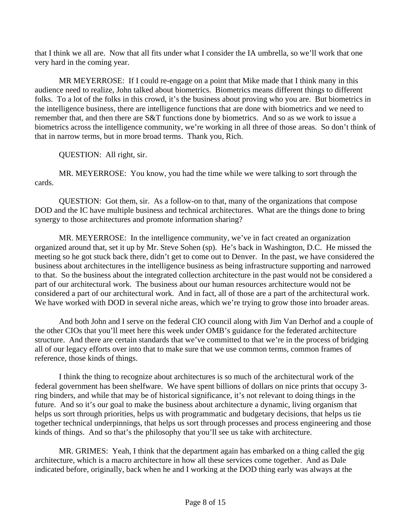that I think we all are. Now that all fits under what I consider the IA umbrella, so we'll work that one very hard in the coming year.

MR MEYERROSE: If I could re-engage on a point that Mike made that I think many in this audience need to realize, John talked about biometrics. Biometrics means different things to different folks. To a lot of the folks in this crowd, it's the business about proving who you are. But biometrics in the intelligence business, there are intelligence functions that are done with biometrics and we need to remember that, and then there are S&T functions done by biometrics. And so as we work to issue a biometrics across the intelligence community, we're working in all three of those areas. So don't think of that in narrow terms, but in more broad terms. Thank you, Rich.

QUESTION: All right, sir.

MR. MEYERROSE: You know, you had the time while we were talking to sort through the cards.

QUESTION: Got them, sir. As a follow-on to that, many of the organizations that compose DOD and the IC have multiple business and technical architectures. What are the things done to bring synergy to those architectures and promote information sharing?

MR. MEYERROSE: In the intelligence community, we've in fact created an organization organized around that, set it up by Mr. Steve Sohen (sp). He's back in Washington, D.C. He missed the meeting so he got stuck back there, didn't get to come out to Denver. In the past, we have considered the business about architectures in the intelligence business as being infrastructure supporting and narrowed to that. So the business about the integrated collection architecture in the past would not be considered a part of our architectural work. The business about our human resources architecture would not be considered a part of our architectural work. And in fact, all of those are a part of the architectural work. We have worked with DOD in several niche areas, which we're trying to grow those into broader areas.

And both John and I serve on the federal CIO council along with Jim Van Derhof and a couple of the other CIOs that you'll meet here this week under OMB's guidance for the federated architecture structure. And there are certain standards that we've committed to that we're in the process of bridging all of our legacy efforts over into that to make sure that we use common terms, common frames of reference, those kinds of things.

I think the thing to recognize about architectures is so much of the architectural work of the federal government has been shelfware. We have spent billions of dollars on nice prints that occupy 3 ring binders, and while that may be of historical significance, it's not relevant to doing things in the future. And so it's our goal to make the business about architecture a dynamic, living organism that helps us sort through priorities, helps us with programmatic and budgetary decisions, that helps us tie together technical underpinnings, that helps us sort through processes and process engineering and those kinds of things. And so that's the philosophy that you'll see us take with architecture.

MR. GRIMES: Yeah, I think that the department again has embarked on a thing called the gig architecture, which is a macro architecture in how all these services come together. And as Dale indicated before, originally, back when he and I working at the DOD thing early was always at the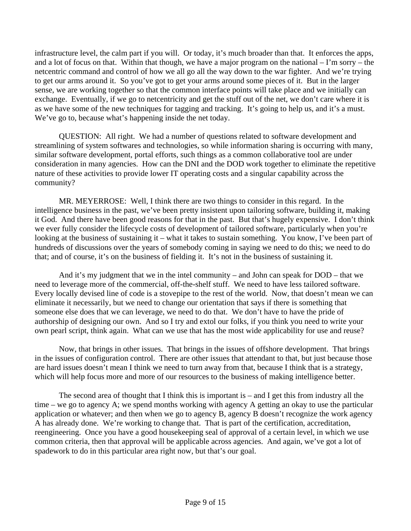infrastructure level, the calm part if you will. Or today, it's much broader than that. It enforces the apps, and a lot of focus on that. Within that though, we have a major program on the national – I'm sorry – the netcentric command and control of how we all go all the way down to the war fighter. And we're trying to get our arms around it. So you've got to get your arms around some pieces of it. But in the larger sense, we are working together so that the common interface points will take place and we initially can exchange. Eventually, if we go to netcentricity and get the stuff out of the net, we don't care where it is as we have some of the new techniques for tagging and tracking. It's going to help us, and it's a must. We've go to, because what's happening inside the net today.

QUESTION: All right. We had a number of questions related to software development and streamlining of system softwares and technologies, so while information sharing is occurring with many, similar software development, portal efforts, such things as a common collaborative tool are under consideration in many agencies. How can the DNI and the DOD work together to eliminate the repetitive nature of these activities to provide lower IT operating costs and a singular capability across the community?

MR. MEYERROSE: Well, I think there are two things to consider in this regard. In the intelligence business in the past, we've been pretty insistent upon tailoring software, building it, making it God. And there have been good reasons for that in the past. But that's hugely expensive. I don't think we ever fully consider the lifecycle costs of development of tailored software, particularly when you're looking at the business of sustaining it – what it takes to sustain something. You know, I've been part of hundreds of discussions over the years of somebody coming in saying we need to do this; we need to do that; and of course, it's on the business of fielding it. It's not in the business of sustaining it.

And it's my judgment that we in the intel community – and John can speak for DOD – that we need to leverage more of the commercial, off-the-shelf stuff. We need to have less tailored software. Every locally devised line of code is a stovepipe to the rest of the world. Now, that doesn't mean we can eliminate it necessarily, but we need to change our orientation that says if there is something that someone else does that we can leverage, we need to do that. We don't have to have the pride of authorship of designing our own. And so I try and extol our folks, if you think you need to write your own pearl script, think again. What can we use that has the most wide applicability for use and reuse?

Now, that brings in other issues. That brings in the issues of offshore development. That brings in the issues of configuration control. There are other issues that attendant to that, but just because those are hard issues doesn't mean I think we need to turn away from that, because I think that is a strategy, which will help focus more and more of our resources to the business of making intelligence better.

The second area of thought that I think this is important is – and I get this from industry all the time – we go to agency A; we spend months working with agency A getting an okay to use the particular application or whatever; and then when we go to agency B, agency B doesn't recognize the work agency A has already done. We're working to change that. That is part of the certification, accreditation, reengineering. Once you have a good housekeeping seal of approval of a certain level, in which we use common criteria, then that approval will be applicable across agencies. And again, we've got a lot of spadework to do in this particular area right now, but that's our goal.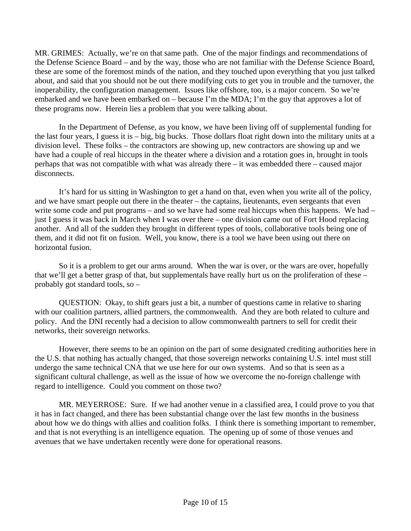MR. GRIMES: Actually, we're on that same path. One of the major findings and recommendations of the Defense Science Board – and by the way, those who are not familiar with the Defense Science Board, these are some of the foremost minds of the nation, and they touched upon everything that you just talked about, and said that you should not be out there modifying cuts to get you in trouble and the turnover, the inoperability, the configuration management. Issues like offshore, too, is a major concern. So we're embarked and we have been embarked on – because I'm the MDA; I'm the guy that approves a lot of these programs now. Herein lies a problem that you were talking about.

In the Department of Defense, as you know, we have been living off of supplemental funding for the last four years, I guess it is – big, big bucks. Those dollars float right down into the military units at a division level. These folks – the contractors are showing up, new contractors are showing up and we have had a couple of real hiccups in the theater where a division and a rotation goes in, brought in tools perhaps that was not compatible with what was already there – it was embedded there – caused major disconnects.

It's hard for us sitting in Washington to get a hand on that, even when you write all of the policy, and we have smart people out there in the theater – the captains, lieutenants, even sergeants that even write some code and put programs – and so we have had some real hiccups when this happens. We had – just I guess it was back in March when I was over there – one division came out of Fort Hood replacing another. And all of the sudden they brought in different types of tools, collaborative tools being one of them, and it did not fit on fusion. Well, you know, there is a tool we have been using out there on horizontal fusion.

So it is a problem to get our arms around. When the war is over, or the wars are over, hopefully that we'll get a better grasp of that, but supplementals have really hurt us on the proliferation of these – probably got standard tools, so –

QUESTION: Okay, to shift gears just a bit, a number of questions came in relative to sharing with our coalition partners, allied partners, the commonwealth. And they are both related to culture and policy. And the DNI recently had a decision to allow commonwealth partners to sell for credit their networks, their sovereign networks.

However, there seems to be an opinion on the part of some designated crediting authorities here in the U.S. that nothing has actually changed, that those sovereign networks containing U.S. intel must still undergo the same technical CNA that we use here for our own systems. And so that is seen as a significant cultural challenge, as well as the issue of how we overcome the no-foreign challenge with regard to intelligence. Could you comment on those two?

MR. MEYERROSE: Sure. If we had another venue in a classified area, I could prove to you that it has in fact changed, and there has been substantial change over the last few months in the business about how we do things with allies and coalition folks. I think there is something important to remember, and that is not everything is an intelligence equation. The opening up of some of those venues and avenues that we have undertaken recently were done for operational reasons.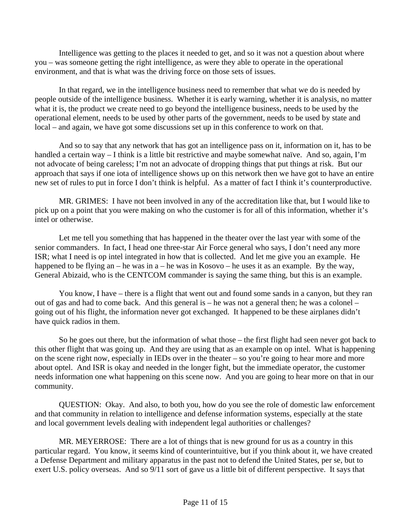Intelligence was getting to the places it needed to get, and so it was not a question about where you – was someone getting the right intelligence, as were they able to operate in the operational environment, and that is what was the driving force on those sets of issues.

In that regard, we in the intelligence business need to remember that what we do is needed by people outside of the intelligence business. Whether it is early warning, whether it is analysis, no matter what it is, the product we create need to go beyond the intelligence business, needs to be used by the operational element, needs to be used by other parts of the government, needs to be used by state and local – and again, we have got some discussions set up in this conference to work on that.

And so to say that any network that has got an intelligence pass on it, information on it, has to be handled a certain way – I think is a little bit restrictive and maybe somewhat naïve. And so, again, I'm not advocate of being careless; I'm not an advocate of dropping things that put things at risk. But our approach that says if one iota of intelligence shows up on this network then we have got to have an entire new set of rules to put in force I don't think is helpful. As a matter of fact I think it's counterproductive.

MR. GRIMES: I have not been involved in any of the accreditation like that, but I would like to pick up on a point that you were making on who the customer is for all of this information, whether it's intel or otherwise.

Let me tell you something that has happened in the theater over the last year with some of the senior commanders. In fact, I head one three-star Air Force general who says, I don't need any more ISR; what I need is op intel integrated in how that is collected. And let me give you an example. He happened to be flying an – he was in a – he was in Kosovo – he uses it as an example. By the way, General Abizaid, who is the CENTCOM commander is saying the same thing, but this is an example.

You know, I have – there is a flight that went out and found some sands in a canyon, but they ran out of gas and had to come back. And this general is – he was not a general then; he was a colonel – going out of his flight, the information never got exchanged. It happened to be these airplanes didn't have quick radios in them.

So he goes out there, but the information of what those – the first flight had seen never got back to this other flight that was going up. And they are using that as an example on op intel. What is happening on the scene right now, especially in IEDs over in the theater – so you're going to hear more and more about optel. And ISR is okay and needed in the longer fight, but the immediate operator, the customer needs information one what happening on this scene now. And you are going to hear more on that in our community.

QUESTION: Okay. And also, to both you, how do you see the role of domestic law enforcement and that community in relation to intelligence and defense information systems, especially at the state and local government levels dealing with independent legal authorities or challenges?

MR. MEYERROSE: There are a lot of things that is new ground for us as a country in this particular regard. You know, it seems kind of counterintuitive, but if you think about it, we have created a Defense Department and military apparatus in the past not to defend the United States, per se, but to exert U.S. policy overseas. And so 9/11 sort of gave us a little bit of different perspective. It says that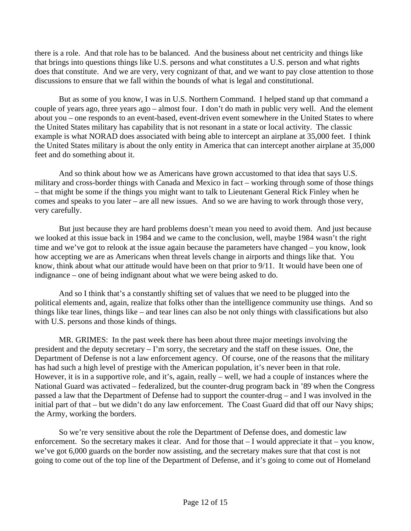there is a role. And that role has to be balanced. And the business about net centricity and things like that brings into questions things like U.S. persons and what constitutes a U.S. person and what rights does that constitute. And we are very, very cognizant of that, and we want to pay close attention to those discussions to ensure that we fall within the bounds of what is legal and constitutional.

But as some of you know, I was in U.S. Northern Command. I helped stand up that command a couple of years ago, three years ago – almost four. I don't do math in public very well. And the element about you – one responds to an event-based, event-driven event somewhere in the United States to where the United States military has capability that is not resonant in a state or local activity. The classic example is what NORAD does associated with being able to intercept an airplane at 35,000 feet. I think the United States military is about the only entity in America that can intercept another airplane at 35,000 feet and do something about it.

And so think about how we as Americans have grown accustomed to that idea that says U.S. military and cross-border things with Canada and Mexico in fact – working through some of those things – that might be some if the things you might want to talk to Lieutenant General Rick Finley when he comes and speaks to you later – are all new issues. And so we are having to work through those very, very carefully.

But just because they are hard problems doesn't mean you need to avoid them. And just because we looked at this issue back in 1984 and we came to the conclusion, well, maybe 1984 wasn't the right time and we've got to relook at the issue again because the parameters have changed – you know, look how accepting we are as Americans when threat levels change in airports and things like that. You know, think about what our attitude would have been on that prior to 9/11. It would have been one of indignance – one of being indignant about what we were being asked to do.

And so I think that's a constantly shifting set of values that we need to be plugged into the political elements and, again, realize that folks other than the intelligence community use things. And so things like tear lines, things like – and tear lines can also be not only things with classifications but also with U.S. persons and those kinds of things.

MR. GRIMES: In the past week there has been about three major meetings involving the president and the deputy secretary – I'm sorry, the secretary and the staff on these issues. One, the Department of Defense is not a law enforcement agency. Of course, one of the reasons that the military has had such a high level of prestige with the American population, it's never been in that role. However, it is in a supportive role, and it's, again, really – well, we had a couple of instances where the National Guard was activated – federalized, but the counter-drug program back in '89 when the Congress passed a law that the Department of Defense had to support the counter-drug – and I was involved in the initial part of that – but we didn't do any law enforcement. The Coast Guard did that off our Navy ships; the Army, working the borders.

So we're very sensitive about the role the Department of Defense does, and domestic law enforcement. So the secretary makes it clear. And for those that – I would appreciate it that – you know, we've got 6,000 guards on the border now assisting, and the secretary makes sure that that cost is not going to come out of the top line of the Department of Defense, and it's going to come out of Homeland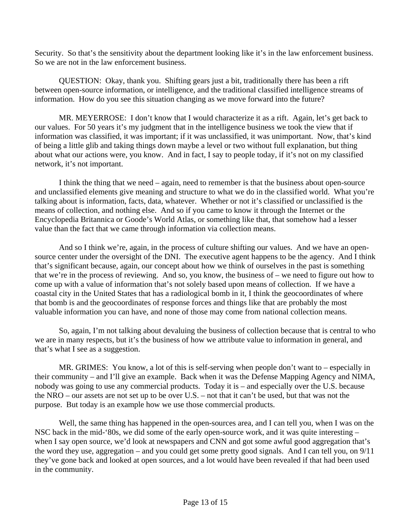Security. So that's the sensitivity about the department looking like it's in the law enforcement business. So we are not in the law enforcement business.

QUESTION: Okay, thank you. Shifting gears just a bit, traditionally there has been a rift between open-source information, or intelligence, and the traditional classified intelligence streams of information. How do you see this situation changing as we move forward into the future?

MR. MEYERROSE: I don't know that I would characterize it as a rift. Again, let's get back to our values. For 50 years it's my judgment that in the intelligence business we took the view that if information was classified, it was important; if it was unclassified, it was unimportant. Now, that's kind of being a little glib and taking things down maybe a level or two without full explanation, but thing about what our actions were, you know. And in fact, I say to people today, if it's not on my classified network, it's not important.

I think the thing that we need – again, need to remember is that the business about open-source and unclassified elements give meaning and structure to what we do in the classified world. What you're talking about is information, facts, data, whatever. Whether or not it's classified or unclassified is the means of collection, and nothing else. And so if you came to know it through the Internet or the Encyclopedia Britannica or Goode's World Atlas, or something like that, that somehow had a lesser value than the fact that we came through information via collection means.

And so I think we're, again, in the process of culture shifting our values. And we have an opensource center under the oversight of the DNI. The executive agent happens to be the agency. And I think that's significant because, again, our concept about how we think of ourselves in the past is something that we're in the process of reviewing. And so, you know, the business of – we need to figure out how to come up with a value of information that's not solely based upon means of collection. If we have a coastal city in the United States that has a radiological bomb in it, I think the geocoordinates of where that bomb is and the geocoordinates of response forces and things like that are probably the most valuable information you can have, and none of those may come from national collection means.

So, again, I'm not talking about devaluing the business of collection because that is central to who we are in many respects, but it's the business of how we attribute value to information in general, and that's what I see as a suggestion.

MR. GRIMES: You know, a lot of this is self-serving when people don't want to – especially in their community – and I'll give an example. Back when it was the Defense Mapping Agency and NIMA, nobody was going to use any commercial products. Today it is – and especially over the U.S. because the NRO – our assets are not set up to be over U.S. – not that it can't be used, but that was not the purpose. But today is an example how we use those commercial products.

Well, the same thing has happened in the open-sources area, and I can tell you, when I was on the NSC back in the mid-'80s, we did some of the early open-source work, and it was quite interesting – when I say open source, we'd look at newspapers and CNN and got some awful good aggregation that's the word they use, aggregation – and you could get some pretty good signals. And I can tell you, on 9/11 they've gone back and looked at open sources, and a lot would have been revealed if that had been used in the community.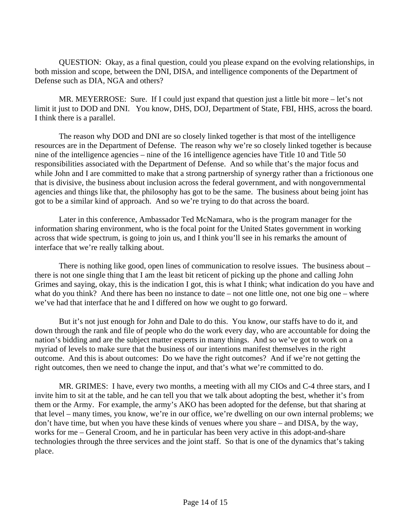QUESTION: Okay, as a final question, could you please expand on the evolving relationships, in both mission and scope, between the DNI, DISA, and intelligence components of the Department of Defense such as DIA, NGA and others?

MR. MEYERROSE: Sure. If I could just expand that question just a little bit more – let's not limit it just to DOD and DNI. You know, DHS, DOJ, Department of State, FBI, HHS, across the board. I think there is a parallel.

The reason why DOD and DNI are so closely linked together is that most of the intelligence resources are in the Department of Defense. The reason why we're so closely linked together is because nine of the intelligence agencies – nine of the 16 intelligence agencies have Title 10 and Title 50 responsibilities associated with the Department of Defense. And so while that's the major focus and while John and I are committed to make that a strong partnership of synergy rather than a frictionous one that is divisive, the business about inclusion across the federal government, and with nongovernmental agencies and things like that, the philosophy has got to be the same. The business about being joint has got to be a similar kind of approach. And so we're trying to do that across the board.

Later in this conference, Ambassador Ted McNamara, who is the program manager for the information sharing environment, who is the focal point for the United States government in working across that wide spectrum, is going to join us, and I think you'll see in his remarks the amount of interface that we're really talking about.

There is nothing like good, open lines of communication to resolve issues. The business about – there is not one single thing that I am the least bit reticent of picking up the phone and calling John Grimes and saying, okay, this is the indication I got, this is what I think; what indication do you have and what do you think? And there has been no instance to date – not one little one, not one big one – where we've had that interface that he and I differed on how we ought to go forward.

But it's not just enough for John and Dale to do this. You know, our staffs have to do it, and down through the rank and file of people who do the work every day, who are accountable for doing the nation's bidding and are the subject matter experts in many things. And so we've got to work on a myriad of levels to make sure that the business of our intentions manifest themselves in the right outcome. And this is about outcomes: Do we have the right outcomes? And if we're not getting the right outcomes, then we need to change the input, and that's what we're committed to do.

MR. GRIMES: I have, every two months, a meeting with all my CIOs and C-4 three stars, and I invite him to sit at the table, and he can tell you that we talk about adopting the best, whether it's from them or the Army. For example, the army's AKO has been adopted for the defense, but that sharing at that level – many times, you know, we're in our office, we're dwelling on our own internal problems; we don't have time, but when you have these kinds of venues where you share – and DISA, by the way, works for me – General Croom, and he in particular has been very active in this adopt-and-share technologies through the three services and the joint staff. So that is one of the dynamics that's taking place.